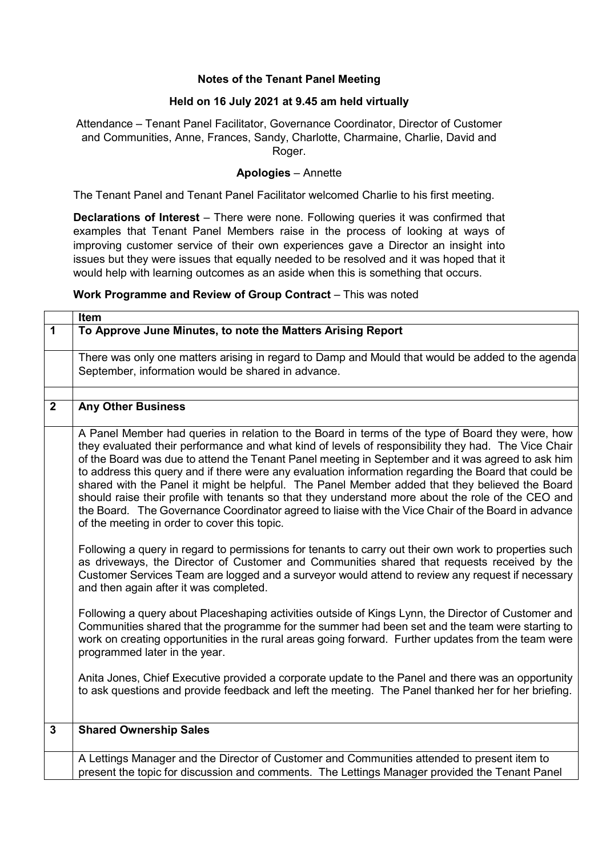## **Notes of the Tenant Panel Meeting**

## **Held on 16 July 2021 at 9.45 am held virtually**

Attendance – Tenant Panel Facilitator, Governance Coordinator, Director of Customer and Communities, Anne, Frances, Sandy, Charlotte, Charmaine, Charlie, David and Roger.

## **Apologies** – Annette

The Tenant Panel and Tenant Panel Facilitator welcomed Charlie to his first meeting.

**Declarations of Interest** – There were none. Following queries it was confirmed that examples that Tenant Panel Members raise in the process of looking at ways of improving customer service of their own experiences gave a Director an insight into issues but they were issues that equally needed to be resolved and it was hoped that it would help with learning outcomes as an aside when this is something that occurs.

## **Work Programme and Review of Group Contract** – This was noted

|                  | Item                                                                                                                                                                                                                                                                                                                                                                                                                                                                                                                                                                                                                                                                                                                                                                               |
|------------------|------------------------------------------------------------------------------------------------------------------------------------------------------------------------------------------------------------------------------------------------------------------------------------------------------------------------------------------------------------------------------------------------------------------------------------------------------------------------------------------------------------------------------------------------------------------------------------------------------------------------------------------------------------------------------------------------------------------------------------------------------------------------------------|
| 1                | To Approve June Minutes, to note the Matters Arising Report                                                                                                                                                                                                                                                                                                                                                                                                                                                                                                                                                                                                                                                                                                                        |
|                  | There was only one matters arising in regard to Damp and Mould that would be added to the agenda<br>September, information would be shared in advance.                                                                                                                                                                                                                                                                                                                                                                                                                                                                                                                                                                                                                             |
| $\boldsymbol{2}$ | <b>Any Other Business</b>                                                                                                                                                                                                                                                                                                                                                                                                                                                                                                                                                                                                                                                                                                                                                          |
|                  |                                                                                                                                                                                                                                                                                                                                                                                                                                                                                                                                                                                                                                                                                                                                                                                    |
|                  | A Panel Member had queries in relation to the Board in terms of the type of Board they were, how<br>they evaluated their performance and what kind of levels of responsibility they had. The Vice Chair<br>of the Board was due to attend the Tenant Panel meeting in September and it was agreed to ask him<br>to address this query and if there were any evaluation information regarding the Board that could be<br>shared with the Panel it might be helpful. The Panel Member added that they believed the Board<br>should raise their profile with tenants so that they understand more about the role of the CEO and<br>the Board. The Governance Coordinator agreed to liaise with the Vice Chair of the Board in advance<br>of the meeting in order to cover this topic. |
|                  | Following a query in regard to permissions for tenants to carry out their own work to properties such<br>as driveways, the Director of Customer and Communities shared that requests received by the<br>Customer Services Team are logged and a surveyor would attend to review any request if necessary<br>and then again after it was completed.                                                                                                                                                                                                                                                                                                                                                                                                                                 |
|                  | Following a query about Placeshaping activities outside of Kings Lynn, the Director of Customer and<br>Communities shared that the programme for the summer had been set and the team were starting to<br>work on creating opportunities in the rural areas going forward. Further updates from the team were<br>programmed later in the year.                                                                                                                                                                                                                                                                                                                                                                                                                                     |
|                  | Anita Jones, Chief Executive provided a corporate update to the Panel and there was an opportunity<br>to ask questions and provide feedback and left the meeting. The Panel thanked her for her briefing.                                                                                                                                                                                                                                                                                                                                                                                                                                                                                                                                                                          |
| $\mathbf{3}$     | <b>Shared Ownership Sales</b>                                                                                                                                                                                                                                                                                                                                                                                                                                                                                                                                                                                                                                                                                                                                                      |
|                  | A Lettings Manager and the Director of Customer and Communities attended to present item to<br>present the topic for discussion and comments. The Lettings Manager provided the Tenant Panel                                                                                                                                                                                                                                                                                                                                                                                                                                                                                                                                                                                       |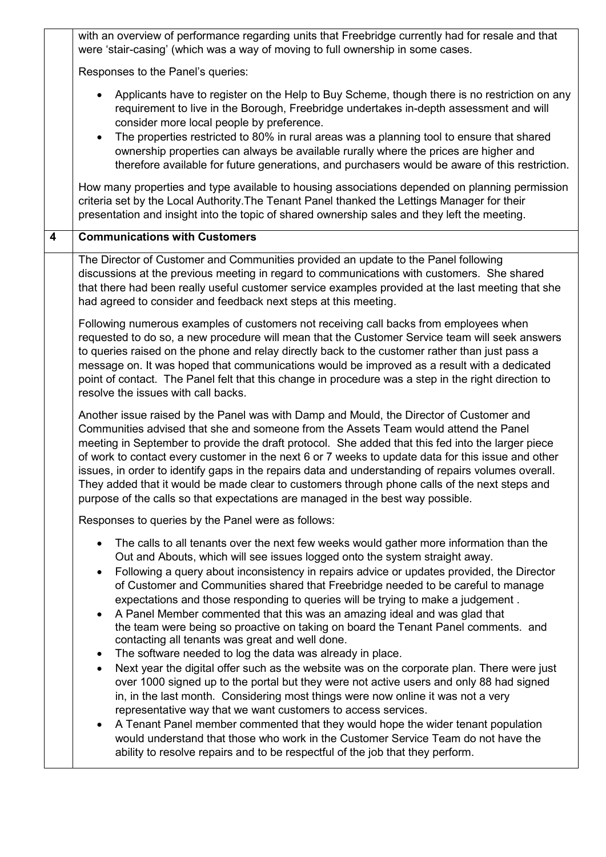|                         | with an overview of performance regarding units that Freebridge currently had for resale and that<br>were 'stair-casing' (which was a way of moving to full ownership in some cases.                                                                                                                                                                                                                                                                                                                                                                                                                                                                                                                                                                                                                                                                                              |
|-------------------------|-----------------------------------------------------------------------------------------------------------------------------------------------------------------------------------------------------------------------------------------------------------------------------------------------------------------------------------------------------------------------------------------------------------------------------------------------------------------------------------------------------------------------------------------------------------------------------------------------------------------------------------------------------------------------------------------------------------------------------------------------------------------------------------------------------------------------------------------------------------------------------------|
|                         | Responses to the Panel's queries:                                                                                                                                                                                                                                                                                                                                                                                                                                                                                                                                                                                                                                                                                                                                                                                                                                                 |
|                         | Applicants have to register on the Help to Buy Scheme, though there is no restriction on any<br>$\bullet$<br>requirement to live in the Borough, Freebridge undertakes in-depth assessment and will<br>consider more local people by preference.<br>The properties restricted to 80% in rural areas was a planning tool to ensure that shared<br>$\bullet$<br>ownership properties can always be available rurally where the prices are higher and<br>therefore available for future generations, and purchasers would be aware of this restriction.                                                                                                                                                                                                                                                                                                                              |
|                         | How many properties and type available to housing associations depended on planning permission<br>criteria set by the Local Authority. The Tenant Panel thanked the Lettings Manager for their<br>presentation and insight into the topic of shared ownership sales and they left the meeting.                                                                                                                                                                                                                                                                                                                                                                                                                                                                                                                                                                                    |
| $\overline{\mathbf{4}}$ | <b>Communications with Customers</b>                                                                                                                                                                                                                                                                                                                                                                                                                                                                                                                                                                                                                                                                                                                                                                                                                                              |
|                         | The Director of Customer and Communities provided an update to the Panel following<br>discussions at the previous meeting in regard to communications with customers. She shared<br>that there had been really useful customer service examples provided at the last meeting that she<br>had agreed to consider and feedback next steps at this meeting.                                                                                                                                                                                                                                                                                                                                                                                                                                                                                                                          |
|                         | Following numerous examples of customers not receiving call backs from employees when<br>requested to do so, a new procedure will mean that the Customer Service team will seek answers<br>to queries raised on the phone and relay directly back to the customer rather than just pass a<br>message on. It was hoped that communications would be improved as a result with a dedicated<br>point of contact. The Panel felt that this change in procedure was a step in the right direction to<br>resolve the issues with call backs.                                                                                                                                                                                                                                                                                                                                            |
|                         | Another issue raised by the Panel was with Damp and Mould, the Director of Customer and<br>Communities advised that she and someone from the Assets Team would attend the Panel<br>meeting in September to provide the draft protocol. She added that this fed into the larger piece<br>of work to contact every customer in the next 6 or 7 weeks to update data for this issue and other<br>issues, in order to identify gaps in the repairs data and understanding of repairs volumes overall.<br>They added that it would be made clear to customers through phone calls of the next steps and<br>purpose of the calls so that expectations are managed in the best way possible.                                                                                                                                                                                             |
|                         | Responses to queries by the Panel were as follows:                                                                                                                                                                                                                                                                                                                                                                                                                                                                                                                                                                                                                                                                                                                                                                                                                                |
|                         | The calls to all tenants over the next few weeks would gather more information than the<br>$\bullet$<br>Out and Abouts, which will see issues logged onto the system straight away.<br>Following a query about inconsistency in repairs advice or updates provided, the Director<br>$\bullet$<br>of Customer and Communities shared that Freebridge needed to be careful to manage<br>expectations and those responding to queries will be trying to make a judgement.<br>A Panel Member commented that this was an amazing ideal and was glad that<br>the team were being so proactive on taking on board the Tenant Panel comments. and<br>contacting all tenants was great and well done.<br>The software needed to log the data was already in place.<br>$\bullet$<br>Next year the digital offer such as the website was on the corporate plan. There were just<br>$\bullet$ |
|                         | over 1000 signed up to the portal but they were not active users and only 88 had signed<br>in, in the last month. Considering most things were now online it was not a very<br>representative way that we want customers to access services.<br>A Tenant Panel member commented that they would hope the wider tenant population<br>$\bullet$<br>would understand that those who work in the Customer Service Team do not have the<br>ability to resolve repairs and to be respectful of the job that they perform.                                                                                                                                                                                                                                                                                                                                                               |
|                         |                                                                                                                                                                                                                                                                                                                                                                                                                                                                                                                                                                                                                                                                                                                                                                                                                                                                                   |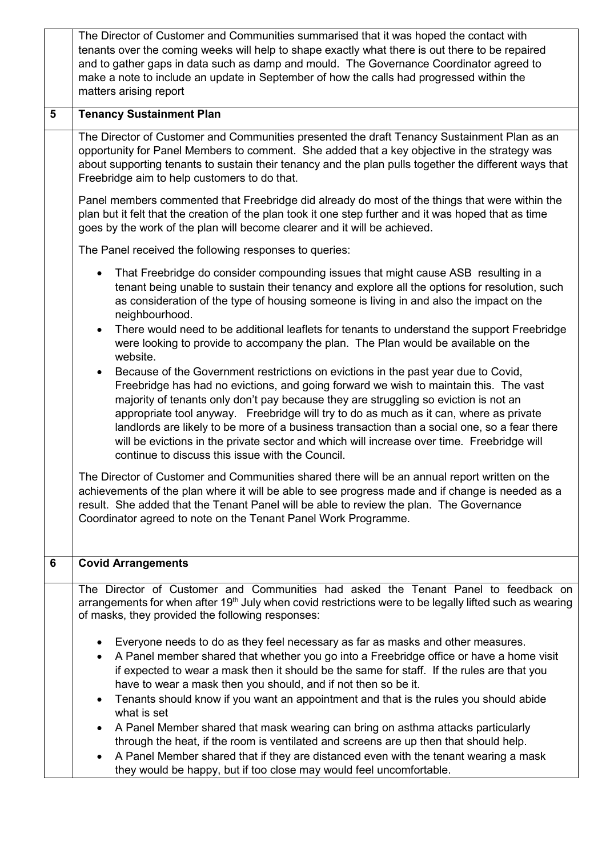|                | The Director of Customer and Communities summarised that it was hoped the contact with<br>tenants over the coming weeks will help to shape exactly what there is out there to be repaired<br>and to gather gaps in data such as damp and mould. The Governance Coordinator agreed to<br>make a note to include an update in September of how the calls had progressed within the<br>matters arising report                                                                                                                                                                                                                   |
|----------------|------------------------------------------------------------------------------------------------------------------------------------------------------------------------------------------------------------------------------------------------------------------------------------------------------------------------------------------------------------------------------------------------------------------------------------------------------------------------------------------------------------------------------------------------------------------------------------------------------------------------------|
| $5\phantom{1}$ | <b>Tenancy Sustainment Plan</b>                                                                                                                                                                                                                                                                                                                                                                                                                                                                                                                                                                                              |
|                | The Director of Customer and Communities presented the draft Tenancy Sustainment Plan as an<br>opportunity for Panel Members to comment. She added that a key objective in the strategy was<br>about supporting tenants to sustain their tenancy and the plan pulls together the different ways that<br>Freebridge aim to help customers to do that.                                                                                                                                                                                                                                                                         |
|                | Panel members commented that Freebridge did already do most of the things that were within the<br>plan but it felt that the creation of the plan took it one step further and it was hoped that as time<br>goes by the work of the plan will become clearer and it will be achieved.                                                                                                                                                                                                                                                                                                                                         |
|                | The Panel received the following responses to queries:                                                                                                                                                                                                                                                                                                                                                                                                                                                                                                                                                                       |
|                | That Freebridge do consider compounding issues that might cause ASB resulting in a<br>$\bullet$<br>tenant being unable to sustain their tenancy and explore all the options for resolution, such<br>as consideration of the type of housing someone is living in and also the impact on the<br>neighbourhood.                                                                                                                                                                                                                                                                                                                |
|                | There would need to be additional leaflets for tenants to understand the support Freebridge<br>$\bullet$<br>were looking to provide to accompany the plan. The Plan would be available on the<br>website.                                                                                                                                                                                                                                                                                                                                                                                                                    |
|                | Because of the Government restrictions on evictions in the past year due to Covid,<br>$\bullet$<br>Freebridge has had no evictions, and going forward we wish to maintain this. The vast<br>majority of tenants only don't pay because they are struggling so eviction is not an<br>appropriate tool anyway. Freebridge will try to do as much as it can, where as private<br>landlords are likely to be more of a business transaction than a social one, so a fear there<br>will be evictions in the private sector and which will increase over time. Freebridge will<br>continue to discuss this issue with the Council. |
|                | The Director of Customer and Communities shared there will be an annual report written on the<br>achievements of the plan where it will be able to see progress made and if change is needed as a<br>result. She added that the Tenant Panel will be able to review the plan. The Governance<br>Coordinator agreed to note on the Tenant Panel Work Programme.                                                                                                                                                                                                                                                               |
| 6              | <b>Covid Arrangements</b>                                                                                                                                                                                                                                                                                                                                                                                                                                                                                                                                                                                                    |
|                | The Director of Customer and Communities had asked the Tenant Panel to feedback on<br>arrangements for when after 19 <sup>th</sup> July when covid restrictions were to be legally lifted such as wearing<br>of masks, they provided the following responses:                                                                                                                                                                                                                                                                                                                                                                |
|                | Everyone needs to do as they feel necessary as far as masks and other measures.<br>A Panel member shared that whether you go into a Freebridge office or have a home visit<br>if expected to wear a mask then it should be the same for staff. If the rules are that you<br>have to wear a mask then you should, and if not then so be it.<br>Tenants should know if you want an appointment and that is the rules you should abide                                                                                                                                                                                          |
|                | what is set<br>A Panel Member shared that mask wearing can bring on asthma attacks particularly<br>through the heat, if the room is ventilated and screens are up then that should help.<br>A Panel Member shared that if they are distanced even with the tenant wearing a mask<br>$\bullet$<br>they would be happy, but if too close may would feel uncomfortable.                                                                                                                                                                                                                                                         |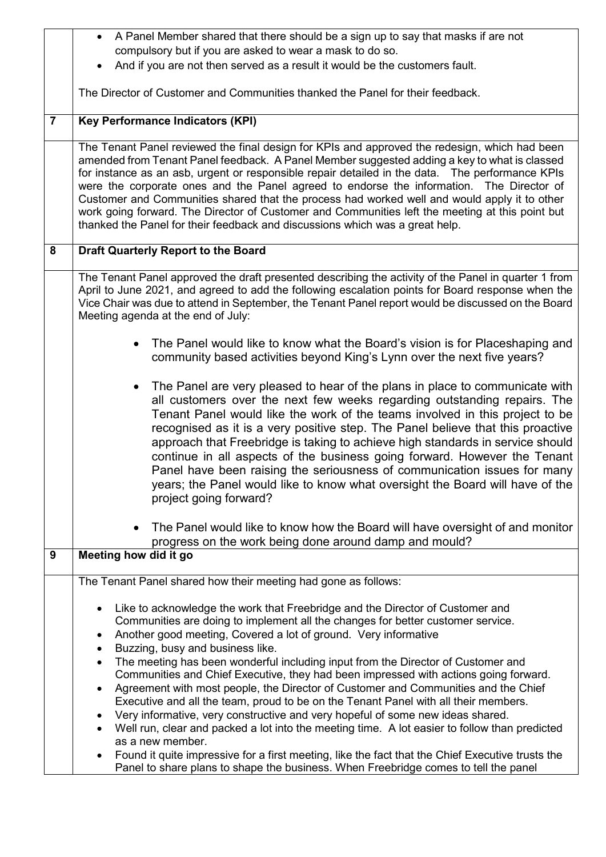|                | A Panel Member shared that there should be a sign up to say that masks if are not                                                                                                                                                                                                                                                                                                                                                                                                                                                                                                                                                                                                 |
|----------------|-----------------------------------------------------------------------------------------------------------------------------------------------------------------------------------------------------------------------------------------------------------------------------------------------------------------------------------------------------------------------------------------------------------------------------------------------------------------------------------------------------------------------------------------------------------------------------------------------------------------------------------------------------------------------------------|
|                | compulsory but if you are asked to wear a mask to do so.                                                                                                                                                                                                                                                                                                                                                                                                                                                                                                                                                                                                                          |
|                | And if you are not then served as a result it would be the customers fault.                                                                                                                                                                                                                                                                                                                                                                                                                                                                                                                                                                                                       |
|                | The Director of Customer and Communities thanked the Panel for their feedback.                                                                                                                                                                                                                                                                                                                                                                                                                                                                                                                                                                                                    |
|                |                                                                                                                                                                                                                                                                                                                                                                                                                                                                                                                                                                                                                                                                                   |
| $\overline{7}$ | <b>Key Performance Indicators (KPI)</b>                                                                                                                                                                                                                                                                                                                                                                                                                                                                                                                                                                                                                                           |
|                | The Tenant Panel reviewed the final design for KPIs and approved the redesign, which had been<br>amended from Tenant Panel feedback. A Panel Member suggested adding a key to what is classed<br>for instance as an asb, urgent or responsible repair detailed in the data. The performance KPIs<br>were the corporate ones and the Panel agreed to endorse the information. The Director of<br>Customer and Communities shared that the process had worked well and would apply it to other<br>work going forward. The Director of Customer and Communities left the meeting at this point but<br>thanked the Panel for their feedback and discussions which was a great help.   |
| 8              | <b>Draft Quarterly Report to the Board</b>                                                                                                                                                                                                                                                                                                                                                                                                                                                                                                                                                                                                                                        |
|                | The Tenant Panel approved the draft presented describing the activity of the Panel in quarter 1 from<br>April to June 2021, and agreed to add the following escalation points for Board response when the<br>Vice Chair was due to attend in September, the Tenant Panel report would be discussed on the Board<br>Meeting agenda at the end of July:                                                                                                                                                                                                                                                                                                                             |
|                | The Panel would like to know what the Board's vision is for Placeshaping and<br>community based activities beyond King's Lynn over the next five years?                                                                                                                                                                                                                                                                                                                                                                                                                                                                                                                           |
|                | The Panel are very pleased to hear of the plans in place to communicate with<br>all customers over the next few weeks regarding outstanding repairs. The<br>Tenant Panel would like the work of the teams involved in this project to be<br>recognised as it is a very positive step. The Panel believe that this proactive<br>approach that Freebridge is taking to achieve high standards in service should<br>continue in all aspects of the business going forward. However the Tenant<br>Panel have been raising the seriousness of communication issues for many<br>years; the Panel would like to know what oversight the Board will have of the<br>project going forward? |
|                | The Panel would like to know how the Board will have oversight of and monitor<br>progress on the work being done around damp and mould?                                                                                                                                                                                                                                                                                                                                                                                                                                                                                                                                           |
| 9              | Meeting how did it go                                                                                                                                                                                                                                                                                                                                                                                                                                                                                                                                                                                                                                                             |
|                | The Tenant Panel shared how their meeting had gone as follows:                                                                                                                                                                                                                                                                                                                                                                                                                                                                                                                                                                                                                    |
|                | Like to acknowledge the work that Freebridge and the Director of Customer and<br>Communities are doing to implement all the changes for better customer service.<br>Another good meeting, Covered a lot of ground. Very informative<br>$\bullet$<br>Buzzing, busy and business like.<br>$\bullet$                                                                                                                                                                                                                                                                                                                                                                                 |
|                | The meeting has been wonderful including input from the Director of Customer and<br>$\bullet$<br>Communities and Chief Executive, they had been impressed with actions going forward.<br>Agreement with most people, the Director of Customer and Communities and the Chief<br>$\bullet$<br>Executive and all the team, proud to be on the Tenant Panel with all their members.<br>Very informative, very constructive and very hopeful of some new ideas shared.                                                                                                                                                                                                                 |
|                | Well run, clear and packed a lot into the meeting time. A lot easier to follow than predicted<br>as a new member.                                                                                                                                                                                                                                                                                                                                                                                                                                                                                                                                                                 |
|                | Found it quite impressive for a first meeting, like the fact that the Chief Executive trusts the<br>Panel to share plans to shape the business. When Freebridge comes to tell the panel                                                                                                                                                                                                                                                                                                                                                                                                                                                                                           |